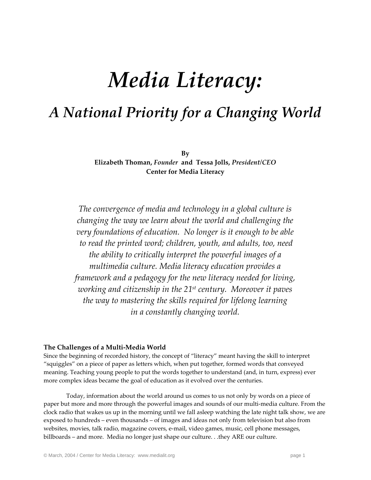# *Media Literacy:*

# *A National Priority for a Changing World*

**By** 

**Elizabeth Thoman,** *Founder* **and Tessa Jolls,** *President/CEO* **Center for Media Literacy** 

*The convergence of media and technology in a global culture is changing the way we learn about the world and challenging the very foundations of education. No longer is it enough to be able to read the printed word; children, youth, and adults, too, need the ability to critically interpret the powerful images of a multimedia culture. Media literacy education provides a framework and a pedagogy for the new literacy needed for living, working and citizenship in the 21st century. Moreover it paves the way to mastering the skills required for lifelong learning in a constantly changing world.*

#### **The Challenges of a Multi-Media World**

Since the beginning of recorded history, the concept of "literacy" meant having the skill to interpret "squiggles" on a piece of paper as letters which, when put together, formed words that conveyed meaning. Teaching young people to put the words together to understand (and, in turn, express) ever more complex ideas became the goal of education as it evolved over the centuries.

Today, information about the world around us comes to us not only by words on a piece of paper but more and more through the powerful images and sounds of our multi-media culture. From the clock radio that wakes us up in the morning until we fall asleep watching the late night talk show, we are exposed to hundreds – even thousands – of images and ideas not only from television but also from websites, movies, talk radio, magazine covers, e-mail, video games, music, cell phone messages, billboards – and more. Media no longer just shape our culture. . .they ARE our culture.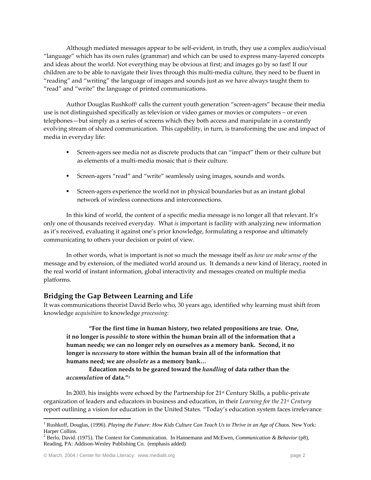Although mediated messages appear to be self-evident, in truth, they use a complex audio/visual "language" which has its own rules (grammar) and which can be used to express many-layered concepts and ideas about the world. Not everything may be obvious at first; and images go by so fast! If our children are to be able to navigate their lives through this multi-media culture, they need to be fluent in "reading" and "writing" the language of images and sounds just as we have always taught them to "read" and "write" the language of printed communications.

Author Douglas Rushkoff<sup>1</sup> calls the current youth generation "screen-agers" because their media use is not distinguished specifically as television or video games or movies or computers – or even telephones—but simply as a series of screens which they both access and manipulate in a constantly evolving stream of shared communication. This capability, in turn, is transforming the use and impact of media in everyday life:

- Screen-agers see media not as discrete products that can "impact" them or their culture but as elements of a multi-media mosaic that *is* their culture.
- Screen-agers "read" and "write" seamlessly using images, sounds and words.
- Screen-agers experience the world not in physical boundaries but as an instant global network of wireless connections and interconnections.

In this kind of world, the content of a specific media message is no longer all that relevant. It's only one of thousands received everyday. What *is* important is facility with analyzing new information as it's received, evaluating it against one's prior knowledge, formulating a response and ultimately communicating to others your decision or point of view.

In other words, what is important is not so much the message itself as *how we make sense of* the message and by extension, of the mediated world around us. It demands a new kind of literacy, rooted in the real world of instant information, global interactivity and messages created on multiple media platforms.

# **Bridging the Gap Between Learning and Life**

It was communications theorist David Berlo who, 30 years ago, identified why learning must shift from knowledge *acquisition* to knowledge *processing*:

**"For the first time in human history, two related propositions are true. One, it no longer is** *possible* **to store within the human brain all of the information that a human needs; we can no longer rely on ourselves as a memory bank. Second, it no longer is** *necessary* **to store within the human brain all of the information that humans need; we are** *obsolete* **as a memory bank…** 

**Education needs to be geared toward the** *handling* **of data rather than the**  *accumulation* **of data."2**

In 2003, his insights were echoed by the Partnership for 21st Century Skills, a public-private organization of leaders and educators in business and education, in their *Learning for the 21st Century*  report outlining a vision for education in the United States. "Today's education system faces irrelevance

 $\overline{\phantom{a}}$ 

<span id="page-1-0"></span><sup>&</sup>lt;sup>1</sup> Rushkoff, Douglas, (1996). *Playing the Future: How Kids Culture Can Teach Us to Thrive in an Age of Chaos.* New York: Harper Collins.

<span id="page-1-1"></span><sup>2</sup> Berlo, David. (1975). The Context for Communication. In Hannemann and McEwen, *Communication & Behavior* (p8), Reading, PA: Addison-Wesley Publishing Co. (emphasis added)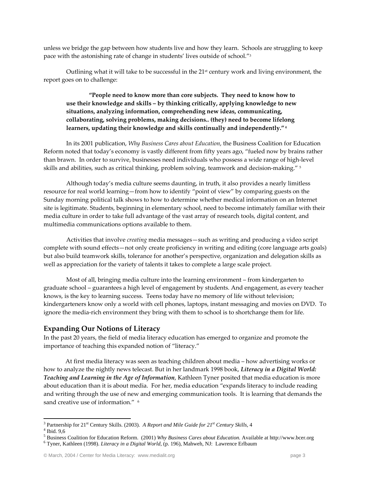unless we bridge the gap between how students live and how they learn. Schools are struggling to keep pace with the astonishing rate of change in students' lives outside of school.["3](#page-2-0) 

Outlining what it will take to be successful in the  $21<sup>st</sup>$  century work and living environment, the report goes on to challenge:

**"People need to know more than core subjects. They need to know how to use their knowledge and skills – by thinking critically, applying knowledge to new situations, analyzing information, comprehending new ideas, communicating, collaborating, solving problems, making decisions.. (they) need to become lifelong learners, updating their knowledge and skills continually and independently." [4](#page-2-1)**

In its 2001 publication, *Why Business Cares about Education*, the Business Coalition for Education Reform noted that today's economy is vastly different from fifty years ago, "fueled now by brains rather than brawn. In order to survive, businesses need individuals who possess a wide range of high-level skills and abilities, such as critical thinking, problem solving, teamwork and decision-making." [5](#page-2-2)

Although today's media culture seems daunting, in truth, it also provides a nearly limitless resource for real world learning—from how to identify "point of view" by comparing guests on the Sunday morning political talk shows to how to determine whether medical information on an Internet site is legitimate. Students, beginning in elementary school, need to become intimately familiar with their media culture in order to take full advantage of the vast array of research tools, digital content, and multimedia communications options available to them.

Activities that involve *creating* media messages—such as writing and producing a video script complete with sound effects—not only create proficiency in writing and editing (core language arts goals) but also build teamwork skills, tolerance for another's perspective, organization and delegation skills as well as appreciation for the variety of talents it takes to complete a large scale project.

Most of all, bringing media culture into the learning environment – from kindergarten to graduate school – guarantees a high level of engagement by students. And engagement, as every teacher knows, is the key to learning success. Teens today have no memory of life without television; kindergarteners know only a world with cell phones, laptops, instant messaging and movies on DVD. To ignore the media-rich environment they bring with them to school is to shortchange them for life.

# **Expanding Our Notions of Literacy**

In the past 20 years, the field of media literacy education has emerged to organize and promote the importance of teaching this expanded notion of "literacy."

 At first media literacy was seen as teaching children about media – how advertising works or how to analyze the nightly news telecast. But in her landmark 1998 book, *Literacy in a Digital World: Teaching and Learning in the Age of Information*, Kathleen Tyner posited that media education is more about education than it is about media. For her, media education "expands literacy to include reading and writing through the use of new and emerging communication tools. It is learning that demands the sand creative use of information." [6](#page-2-3)

 $\overline{\phantom{a}}$ 

<span id="page-2-0"></span><sup>&</sup>lt;sup>3</sup> Partnership for 21<sup>st</sup> Century Skills. (2003). *A Report and Mile Guide for 21<sup>st</sup> Century Skills*, 4<br><sup>4</sup> Ibid. 0.6

<span id="page-2-1"></span> $^4$ Ibid. 9,6  $\,$ 

<span id="page-2-2"></span><sup>&</sup>lt;sup>5</sup> Business Coalition for Education Reform. (2001) *Why Business Cares about Education*. Available at http://www.bcer.org  $\frac{6}{5}$ Tyner, Kathleen (1998), Literary in a Disting World (p. 196). Mehyphs NL Laurence Erlbeum

<span id="page-2-3"></span>Tyner, Kathleen (1998). *Literacy in a Digital World*, (p. 196), Mahweh, NJ: Lawrence Erlbaum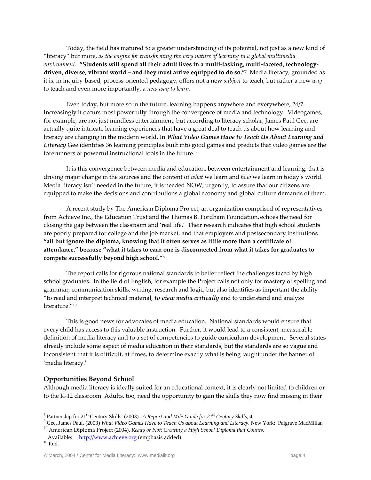Today, the field has matured to a greater understanding of its potential, not just as a new kind of "literacy" but more, *as the engine for transforming the very nature of learning in a global multimedia environment.* **"Students will spend all their adult lives in a multi-tasking, multi-faceted, technologydriven, diverse, vibrant world – and they must arrive equipped to do so.["7](#page-3-0)** Media literacy, grounded as it is, in inquiry-based, process-oriented pedagogy, offers not a new *subject* to teach, but rather a new *way* to teach and even more importantly, a *new way to learn.* 

Even today, but more so in the future, learning happens anywhere and everywhere, 24/7. Increasingly it occurs most powerfully through the convergence of media and technology. Videogames, for example, are not just mindless entertainment, but according to literacy scholar, James Paul Gee, are actually quite intricate learning experiences that have a great deal to teach us about how learning and literacy are changing in the modern world. In *What Video Games Have to Teach Us About Learning and Literacy* Gee identifies 36 learning principles built into good games and predicts that video games are the forerunners of powerful instructional tools in the future. [8](#page-3-1)

It is this convergence between media and education, between entertainment and learning, that is driving major change in the sources and the content of *what* we learn and *how* we learn in today's world. Media literacy isn't needed in the future, it is needed NOW, urgently, to assure that our citizens are equipped to make the decisions and contributions a global economy and global culture demands of them.

A recent study by The American Diploma Project, an organization comprised of representatives from Achieve Inc., the Education Trust and the Thomas B. Fordham Foundation, echoes the need for closing the gap between the classroom and 'real life.' Their research indicates that high school students are poorly prepared for college and the job market, and that employers and postsecondary institutions **"all but ignore the diploma, knowing that it often serves as little more than a certificate of attendance," because "what it takes to earn one is disconnected from what it takes for graduates to compete successfully beyond high school." [9](#page-3-2)**

The report calls for rigorous national standards to better reflect the challenges faced by high school graduates. In the field of English, for example the Project calls not only for mastery of spelling and grammar, communication skills, writing, research and logic, but also identifies as important the ability "to read and interpret technical material, *to view media critically* and to understand and analyze literature."<sup>10</sup>

This is good news for advocates of media education. National standards would ensure that every child has access to this valuable instruction. Further, it would lead to a consistent, measurable definition of media literacy and to a set of competencies to guide curriculum development. Several states already include some aspect of media education in their standards, but the standards are so vague and inconsistent that it is difficult, at times, to determine exactly what is being taught under the banner of 'media literacy.'

#### **Opportunities Beyond School**

Although media literacy is ideally suited for an educational context, it is clearly not limited to children or to the K-12 classroom. Adults, too, need the opportunity to gain the skills they now find missing in their

<span id="page-3-3"></span>

 $\overline{a}$ 

<span id="page-3-0"></span><sup>&</sup>lt;sup>7</sup> Partnership for 21<sup>st</sup> Century Skills. (2003). *A Report and Mile Guide for 21<sup>st</sup> Century Skills*, 4  $\frac{8}{100}$  Center and Literary News 2002). What Video Cames Have to Teach Us about Learning and Literary News

<span id="page-3-1"></span><sup>&</sup>lt;sup>8</sup> Gee, James Paul. (2003) *What Video Games Have to Teach Us about Learning and Literacy*. New York: Palgrave MacMillan <sup>99</sup> American Diploma Project (2004). *Ready or Not: Creating a High School Diploma that Counts*.

<span id="page-3-2"></span>Available: <u>http://www.achieve.org</u> (emphasis added)  $^{10}$  Ibid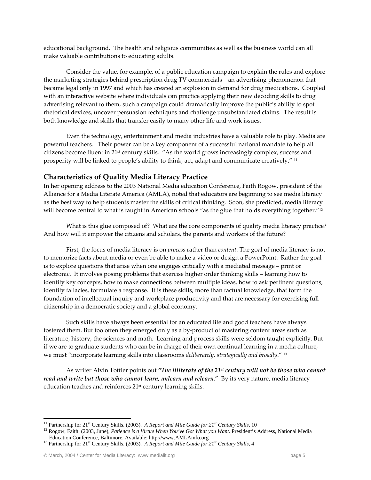educational background. The health and religious communities as well as the business world can all make valuable contributions to educating adults.

Consider the value, for example, of a public education campaign to explain the rules and explore the marketing strategies behind prescription drug TV commercials – an advertising phenomenon that became legal only in 1997 and which has created an explosion in demand for drug medications. Coupled with an interactive website where individuals can practice applying their new decoding skills to drug advertising relevant to them, such a campaign could dramatically improve the public's ability to spot rhetorical devices, uncover persuasion techniques and challenge unsubstantiated claims. The result is both knowledge and skills that transfer easily to many other life and work issues.

Even the technology, entertainment and media industries have a valuable role to play. Media are powerful teachers. Their power can be a key component of a successful national mandate to help all citizens become fluent in 21st century skills. "As the world grows increasingly complex, success and prosperity will be linked to people's ability to think, act, adapt and communicate creatively." [11](#page-4-0)

# **Characteristics of Quality Media Literacy Practice**

In her opening address to the 2003 National Media education Conference, Faith Rogow, president of the Alliance for a Media Literate America (AMLA), noted that educators are beginning to see media literacy as the best way to help students master the skills of critical thinking. Soon, she predicted, media literacy will become central to what is taught in American schools "as the glue that holds everything together."<sup>12</sup>

What is this glue composed of? What are the core components of quality media literacy practice? And how will it empower the citizens and scholars, the parents and workers of the future?

First, the focus of media literacy is on *process* rather than *content*. The goal of media literacy is not to memorize facts about media or even be able to make a video or design a PowerPoint. Rather the goal is to explore questions that arise when one engages critically with a mediated message – print or electronic. It involves posing problems that exercise higher order thinking skills – learning how to identify key concepts, how to make connections between multiple ideas, how to ask pertinent questions, identify fallacies, formulate a response. It is these skills, more than factual knowledge, that form the foundation of intellectual inquiry and workplace productivity and that are necessary for exercising full citizenship in a democratic society and a global economy.

Such skills have always been essential for an educated life and good teachers have always fostered them. But too often they emerged only as a by-product of mastering content areas such as literature, history, the sciences and math. Learning and process skills were seldom taught explicitly. But if we are to graduate students who can be in charge of their own continual learning in a media culture, we must "incorporate learning skills into classrooms *deliberately, strategically and broadly*." [13](#page-4-2) 

As writer Alvin Toffler points out *"The illiterate of the 21st century will not be those who cannot read and write but those who cannot learn, unlearn and relearn*." By its very nature, media literacy education teaches and reinforces 21st century learning skills.

 $\overline{\phantom{a}}$ 

<span id="page-4-1"></span><span id="page-4-0"></span><sup>&</sup>lt;sup>11</sup> Partnership for 21<sup>st</sup> Century Skills. (2003). A Report and Mile Guide for  $21^{st}$  Century Skills, 10<br><sup>12</sup> Rogow, Faith. (2003, June), *Patience is a Virtue When You've Got What you Want*. President's Address, Nation Education Conference, Baltimore. Available: http://www.AMLAinfo.org<br><sup>13</sup> Partnership for 21<sup>st</sup> Century Skills. (2003). *A Report and Mile Guide for 21<sup>st</sup> Century Skills*, 4

<span id="page-4-2"></span>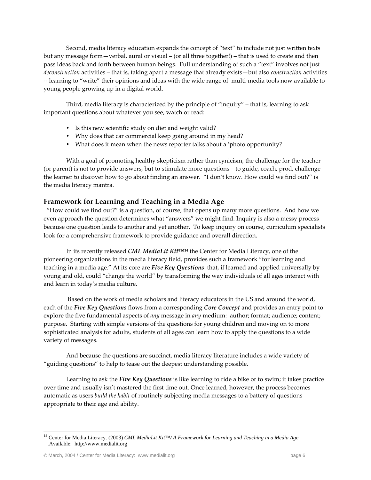Second, media literacy education expands the concept of "text" to include not just written texts but any message form—verbal, aural or visual – (or all three together!) – that is used to create and then pass ideas back and forth between human beings. Full understanding of such a "text" involves not just *deconstruction* activities – that is, taking apart a message that already exists—but also *construction* activities -- learning to "write" their opinions and ideas with the wide range of multi-media tools now available to young people growing up in a digital world.

Third, media literacy is characterized by the principle of "inquiry" – that is, learning to ask important questions about whatever you see, watch or read:

- Is this new scientific study on diet and weight valid?
- Why does that car commercial keep going around in my head?
- What does it mean when the news reporter talks about a 'photo opportunity?

With a goal of promoting healthy skepticism rather than cynicism, the challenge for the teacher (or parent) is not to provide answers, but to stimulate more questions – to guide, coach, prod, challenge the learner to discover how to go about finding an answer. "I don't know. How could we find out?" is the media literacy mantra.

# **Framework for Learning and Teaching in a Media Age**

 "How could we find out?" is a question, of course, that opens up many more questions. And how we even approach the question determines what "answers" we might find. Inquiry is also a messy process because one question leads to another and yet another. To keep inquiry on course, curriculum specialists look for a comprehensive framework to provide guidance and overall direction.

In its recently released *CML MediaLit Kit***™[14](#page-5-0)** the Center for Media Literacy, one of the pioneering organizations in the media literacy field, provides such a framework "for learning and teaching in a media age." At its core are *Five Key Questions* that, if learned and applied universally by young and old, could "change the world" by transforming the way individuals of all ages interact with and learn in today's media culture.

 Based on the work of media scholars and literacy educators in the US and around the world, each of the *Five Key Questions* flows from a corresponding *Core Concept* and provides an entry point to explore the five fundamental aspects of *any* message in *any* medium: author; format; audience; content; purpose. Starting with simple versions of the questions for young children and moving on to more sophisticated analysis for adults, students of all ages can learn how to apply the questions to a wide variety of messages.

And because the questions are succinct, media literacy literature includes a wide variety of "guiding questions" to help to tease out the deepest understanding possible.

Learning to ask the *Five Key Questions* is like learning to ride a bike or to swim; it takes practice over time and usually isn't mastered the first time out. Once learned, however, the process becomes automatic as users *build the habit* of routinely subjecting media messages to a battery of questions appropriate to their age and ability.

<span id="page-5-0"></span> $\overline{\phantom{a}}$ 14 Center for Media Literacy. (2003) *CML MediaLit Kit™/ A Framework for Learning and Teaching in a Media Age .*Available: http://www.medialit.org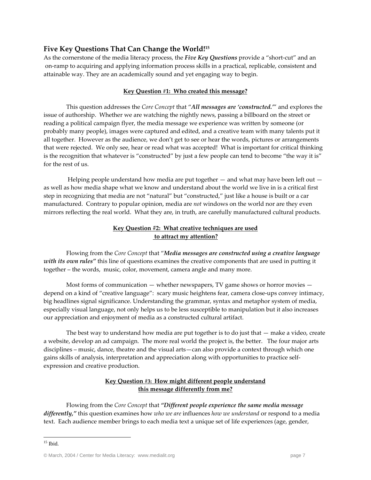# **Five Key Questions That Can Change the World![15](#page-6-0)**

As the cornerstone of the media literacy process, the *Five Key Questions* provide a "short-cut" and an on-ramp to acquiring and applying information process skills in a practical, replicable, consistent and attainable way. They are an academically sound and yet engaging way to begin.

# **Key Question #1: Who created this message?**

This question addresses the *Core Concept* that "*All messages are 'constructed.'*" and explores the issue of authorship. Whether we are watching the nightly news, passing a billboard on the street or reading a political campaign flyer, the media message we experience was written by someone (or probably many people), images were captured and edited, and a creative team with many talents put it all together. However as the audience, we don't get to see or hear the words, pictures or arrangements that were rejected. We only see, hear or read what was accepted! What is important for critical thinking is the recognition that whatever is "constructed" by just a few people can tend to become "the way it is" for the rest of us.

Helping people understand how media are put together  $-$  and what may have been left out  $$ as well as how media shape what we know and understand about the world we live in is a critical first step in recognizing that media are not "natural" but "constructed," just like a house is built or a car manufactured. Contrary to popular opinion, media are *not* windows on the world nor are they even mirrors reflecting the real world. What they are, in truth, are carefully manufactured cultural products.

# **Key Question #2: What creative techniques are used to attract my attention?**

Flowing from the *Core Concept* that "*Media messages are constructed using a creative language with its own rules"* this line of questions examines the creative components that are used in putting it together – the words, music, color, movement, camera angle and many more.

Most forms of communication — whether newspapers, TV game shows or horror movies depend on a kind of "creative language": scary music heightens fear, camera close-ups convey intimacy, big headlines signal significance. Understanding the grammar, syntax and metaphor system of media, especially visual language, not only helps us to be less susceptible to manipulation but it also increases our appreciation and enjoyment of media as a constructed cultural artifact.

The best way to understand how media are put together is to do just that — make a video, create a website, develop an ad campaign. The more real world the project is, the better. The four major arts disciplines – music, dance, theatre and the visual arts—can also provide a context through which one gains skills of analysis, interpretation and appreciation along with opportunities to practice selfexpression and creative production.

# **Key Question #3: How might different people understand this message differently from me?**

Flowing from the *Core Concept* that *"Different people experience the same media message differently,"* this question examines how *who we are* influences *how we understand* or respond to a media text. Each audience member brings to each media text a unique set of life experiences (age, gender,

<span id="page-6-0"></span> $\overline{a}$  $15$  Ibid.

<sup>©</sup> March, 2004 / Center for Media Literacy: www.medialit.org page 7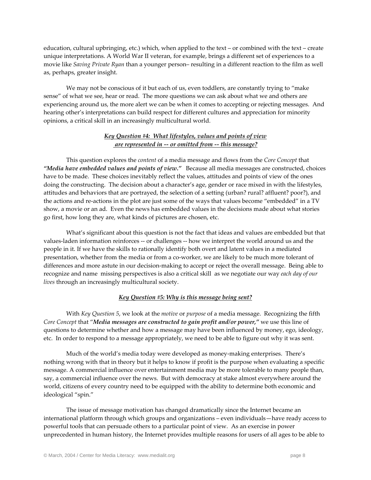education, cultural upbringing, etc.) which, when applied to the text – or combined with the text – create unique interpretations. A World War II veteran, for example, brings a different set of experiences to a movie like *Saving Private Ryan* than a younger person– resulting in a different reaction to the film as well as, perhaps, greater insight.

We may not be conscious of it but each of us, even toddlers, are constantly trying to "make" sense" of what we see, hear or read. The more questions we can ask about what we and others are experiencing around us, the more alert we can be when it comes to accepting or rejecting messages. And hearing other's interpretations can build respect for different cultures and appreciation for minority opinions, a critical skill in an increasingly multicultural world.

# *Key Question #4: What lifestyles, values and points of view are represented in -- or omitted from -- this message?*

This question explores the *content* of a media message and flows from the *Core Concept* that *"Media have embedded values and points of view."* Because all media messages are constructed, choices have to be made. These choices inevitably reflect the values, attitudes and points of view of the ones doing the constructing. The decision about a character's age, gender or race mixed in with the lifestyles, attitudes and behaviors that are portrayed, the selection of a setting (urban? rural? affluent? poor?), and the actions and re-actions in the plot are just some of the ways that values become "embedded" in a TV show, a movie or an ad. Even the news has embedded values in the decisions made about what stories go first, how long they are, what kinds of pictures are chosen, etc.

What's significant about this question is not the fact that ideas and values are embedded but that values-laden information reinforces -- or challenges -- how we interpret the world around us and the people in it. If we have the skills to rationally identify both overt and latent values in a mediated presentation, whether from the media or from a co-worker, we are likely to be much more tolerant of differences and more astute in our decision-making to accept or reject the overall message. Being able to recognize and name missing perspectives is also a critical skill as we negotiate our way *each day of our lives* through an increasingly multicultural society.

## *Key Question #5: Why is this message being sent?*

With *Key Question 5*, we look at the *motive* or *purpose* of a media message. Recognizing the fifth *Core Concept* that "*Media messages are constructed to gain profit and/or power,"* we use this line of questions to determine whether and how a message may have been influenced by money, ego, ideology, etc. In order to respond to a message appropriately, we need to be able to figure out why it was sent.

Much of the world's media today were developed as money-making enterprises. There's nothing wrong with that in theory but it helps to know if profit is the purpose when evaluating a specific message. A commercial influence over entertainment media may be more tolerable to many people than, say, a commercial influence over the news. But with democracy at stake almost everywhere around the world, citizens of every country need to be equipped with the ability to determine both economic and ideological "spin."

The issue of message motivation has changed dramatically since the Internet became an international platform through which groups and organizations – even individuals—have ready access to powerful tools that can persuade others to a particular point of view. As an exercise in power unprecedented in human history, the Internet provides multiple reasons for users of all ages to be able to